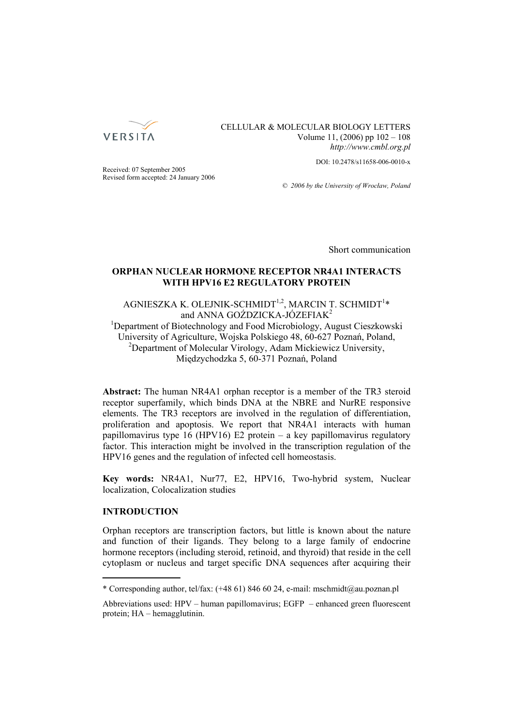

# CELLULAR & MOLECULAR BIOLOGY LETTERS Volume 11, (2006) pp 102 – 108 *http://www.cmbl.org.pl*

DOI: 10.2478/s11658-006-0010-x

Received: 07 September 2005 Revised form accepted: 24 January 2006

*© 2006 by the University of Wrocław, Poland*

Short communication

# **ORPHAN NUCLEAR HORMONE RECEPTOR NR4A1 INTERACTS WITH HPV16 E2 REGULATORY PROTEIN**

AGNIESZKA K. OLEJNIK-SCHMIDT $^{1,2}$ , MARCIN T. SCHMIDT $^{1*}$ and ANNA GOŹDZICKA-JÓZEFIAK<sup>2</sup>

<sup>1</sup>Department of Biotechnology and Food Microbiology, August Cieszkowski University of Agriculture, Wojska Polskiego 48, 60-627 Poznań, Poland, 2 Department of Molecular Virology, Adam Mickiewicz University, Międzychodzka 5, 60-371 Poznań, Poland

**Abstract:** The human NR4A1 orphan receptor is a member of the TR3 steroid receptor superfamily, which binds DNA at the NBRE and NurRE responsive elements. The TR3 receptors are involved in the regulation of differentiation, proliferation and apoptosis. We report that NR4A1 interacts with human papillomavirus type 16 (HPV16) E2 protein – a key papillomavirus regulatory factor. This interaction might be involved in the transcription regulation of the HPV16 genes and the regulation of infected cell homeostasis.

**Key words:** NR4A1, Nur77, E2, HPV16, Two-hybrid system, Nuclear localization, Colocalization studies

# **INTRODUCTION**

Orphan receptors are transcription factors, but little is known about the nature and function of their ligands. They belong to a large family of endocrine hormone receptors (including steroid, retinoid, and thyroid) that reside in the cell cytoplasm or nucleus and target specific DNA sequences after acquiring their

<sup>\*</sup> Corresponding author, tel/fax: (+48 61) 846 60 24, e-mail: mschmidt@au.poznan.pl

Abbreviations used: HPV – human papillomavirus; EGFP – enhanced green fluorescent protein; HA – hemagglutinin.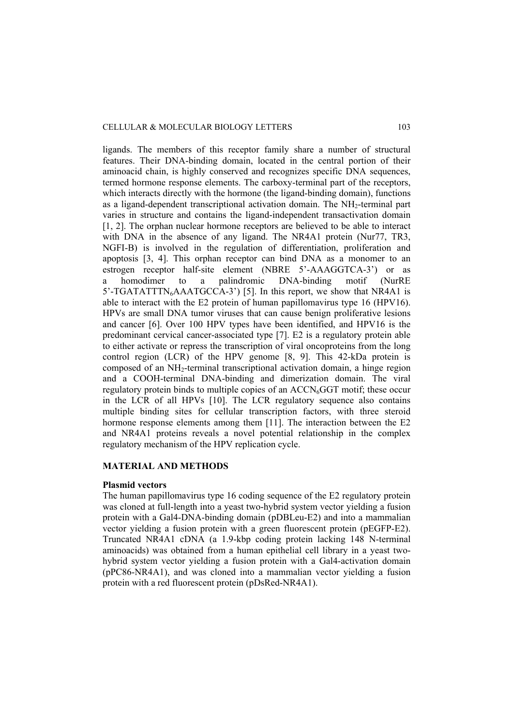ligands. The members of this receptor family share a number of structural features. Their DNA-binding domain, located in the central portion of their aminoacid chain, is highly conserved and recognizes specific DNA sequences, termed hormone response elements. The carboxy-terminal part of the receptors, which interacts directly with the hormone (the ligand-binding domain), functions as a ligand-dependent transcriptional activation domain. The NH<sub>2</sub>-terminal part varies in structure and contains the ligand-independent transactivation domain [1, 2]. The orphan nuclear hormone receptors are believed to be able to interact with DNA in the absence of any ligand. The NR4A1 protein (Nur77, TR3, NGFI-B) is involved in the regulation of differentiation, proliferation and apoptosis [3, 4]. This orphan receptor can bind DNA as a monomer to an estrogen receptor half-site element (NBRE 5'-AAAGGTCA-3') or as a homodimer to a palindromic DNA-binding motif (NurRE  $5'$ -TGATATTTN<sub>6</sub>AAATGCCA-3') [5]. In this report, we show that NR4A1 is able to interact with the E2 protein of human papillomavirus type 16 (HPV16). HPVs are small DNA tumor viruses that can cause benign proliferative lesions and cancer [6]. Over 100 HPV types have been identified, and HPV16 is the predominant cervical cancer-associated type [7]. E2 is a regulatory protein able to either activate or repress the transcription of viral oncoproteins from the long control region (LCR) of the HPV genome [8, 9]. This 42-kDa protein is composed of an NH<sub>2</sub>-terminal transcriptional activation domain, a hinge region and a COOH-terminal DNA-binding and dimerization domain. The viral regulatory protein binds to multiple copies of an  $ACCN<sub>6</sub>GGT$  motif; these occur in the LCR of all HPVs [10]. The LCR regulatory sequence also contains multiple binding sites for cellular transcription factors, with three steroid hormone response elements among them [11]. The interaction between the E2 and NR4A1 proteins reveals a novel potential relationship in the complex regulatory mechanism of the HPV replication cycle.

# **MATERIAL AND METHODS**

### **Plasmid vectors**

The human papillomavirus type 16 coding sequence of the E2 regulatory protein was cloned at full-length into a yeast two-hybrid system vector yielding a fusion protein with a Gal4-DNA-binding domain (pDBLeu-E2) and into a mammalian vector yielding a fusion protein with a green fluorescent protein (pEGFP-E2). Truncated NR4A1 cDNA (a 1.9-kbp coding protein lacking 148 N-terminal aminoacids) was obtained from a human epithelial cell library in a yeast twohybrid system vector yielding a fusion protein with a Gal4-activation domain (pPC86-NR4A1), and was cloned into a mammalian vector yielding a fusion protein with a red fluorescent protein (pDsRed-NR4A1).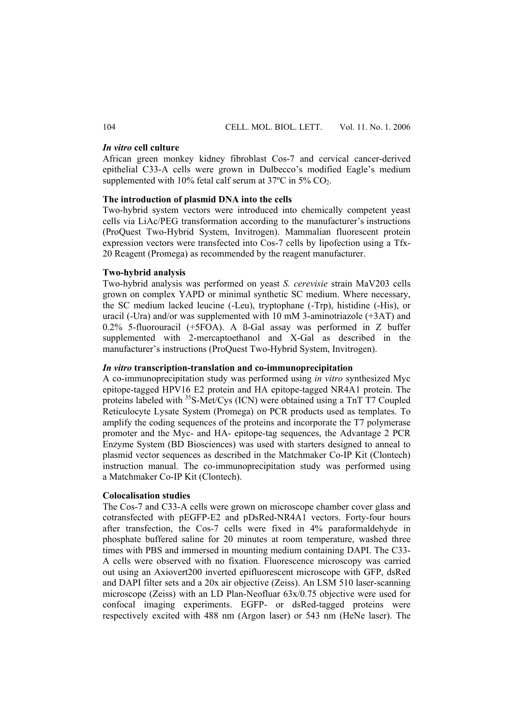#### *In vitro* **cell culture**

African green monkey kidney fibroblast Cos-7 and cervical cancer-derived epithelial C33-A cells were grown in Dulbecco's modified Eagle's medium supplemented with 10% fetal calf serum at  $37^{\circ}$ C in  $5\%$  CO<sub>2</sub>.

#### **The introduction of plasmid DNA into the cells**

Two-hybrid system vectors were introduced into chemically competent yeast cells via LiAc/PEG transformation according to the manufacturer's instructions (ProQuest Two-Hybrid System, Invitrogen). Mammalian fluorescent protein expression vectors were transfected into Cos-7 cells by lipofection using a Tfx-20 Reagent (Promega) as recommended by the reagent manufacturer.

#### **Two-hybrid analysis**

Two-hybrid analysis was performed on yeast *S. cerevisie* strain MaV203 cells grown on complex YAPD or minimal synthetic SC medium. Where necessary, the SC medium lacked leucine (-Leu), tryptophane (-Trp), histidine (-His), or uracil (-Ura) and/or was supplemented with 10 mM 3-aminotriazole (+3AT) and 0.2% 5-fluorouracil (+5FOA). A ß-Gal assay was performed in Z buffer supplemented with 2-mercaptoethanol and X-Gal as described in the manufacturer's instructions (ProQuest Two-Hybrid System, Invitrogen).

### *In vitro* **transcription-translation and co-immunoprecipitation**

A co-immunoprecipitation study was performed using *in vitro* synthesized Myc epitope-tagged HPV16 E2 protein and HA epitope-tagged NR4A1 protein. The proteins labeled with <sup>35</sup>S-Met/Cys (ICN) were obtained using a TnT T7 Coupled Reticulocyte Lysate System (Promega) on PCR products used as templates. To amplify the coding sequences of the proteins and incorporate the T7 polymerase promoter and the Myc- and HA- epitope-tag sequences, the Advantage 2 PCR Enzyme System (BD Biosciences) was used with starters designed to anneal to plasmid vector sequences as described in the Matchmaker Co-IP Kit (Clontech) instruction manual. The co-immunoprecipitation study was performed using a Matchmaker Co-IP Kit (Clontech).

### **Colocalisation studies**

The Cos-7 and C33-A cells were grown on microscope chamber cover glass and cotransfected with pEGFP-E2 and pDsRed-NR4A1 vectors. Forty-four hours after transfection, the Cos-7 cells were fixed in 4% paraformaldehyde in phosphate buffered saline for 20 minutes at room temperature, washed three times with PBS and immersed in mounting medium containing DAPI. The C33- A cells were observed with no fixation. Fluorescence microscopy was carried out using an Axiovert200 inverted epifluorescent microscope with GFP, dsRed and DAPI filter sets and a 20x air objective (Zeiss). An LSM 510 laser-scanning microscope (Zeiss) with an LD Plan-Neofluar 63x/0.75 objective were used for confocal imaging experiments. EGFP- or dsRed-tagged proteins were respectively excited with 488 nm (Argon laser) or 543 nm (HeNe laser). The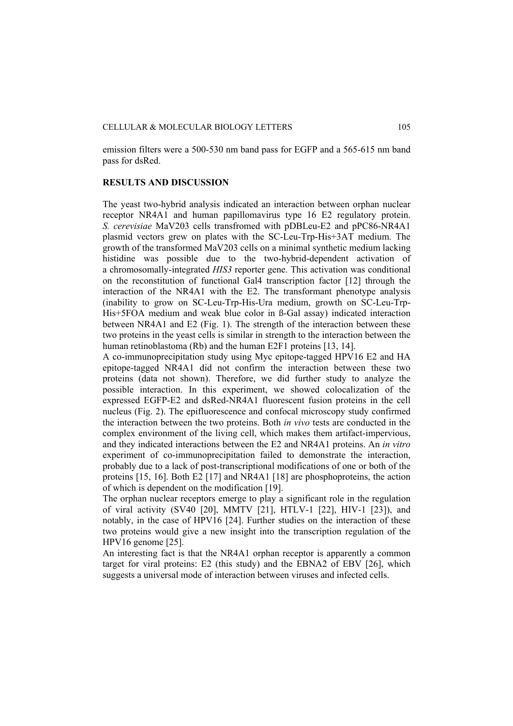emission filters were a 500-530 nm band pass for EGFP and a 565-615 nm band pass for dsRed.

#### **RESULTS AND DISCUSSION**

The yeast two-hybrid analysis indicated an interaction between orphan nuclear receptor NR4A1 and human papillomavirus type 16 E2 regulatory protein. *S. cerevisiae* MaV203 cells transfromed with pDBLeu-E2 and pPC86-NR4A1 plasmid vectors grew on plates with the SC-Leu-Trp-His+3AT medium. The growth of the transformed MaV203 cells on a minimal synthetic medium lacking histidine was possible due to the two-hybrid-dependent activation of a chromosomally-integrated *HIS3* reporter gene. This activation was conditional on the reconstitution of functional Gal4 transcription factor [12] through the interaction of the NR4A1 with the E2. The transformant phenotype analysis (inability to grow on SC-Leu-Trp-His-Ura medium, growth on SC-Leu-Trp-His+5FOA medium and weak blue color in ß-Gal assay) indicated interaction between NR4A1 and E2 (Fig. 1). The strength of the interaction between these two proteins in the yeast cells is similar in strength to the interaction between the human retinoblastoma (Rb) and the human E2F1 proteins [13, 14].

A co-immunoprecipitation study using Myc epitope-tagged HPV16 E2 and HA epitope-tagged NR4A1 did not confirm the interaction between these two proteins (data not shown). Therefore, we did further study to analyze the possible interaction. In this experiment, we showed colocalization of the expressed EGFP-E2 and dsRed-NR4A1 fluorescent fusion proteins in the cell nucleus (Fig. 2). The epifluorescence and confocal microscopy study confirmed the interaction between the two proteins. Both *in vivo* tests are conducted in the complex environment of the living cell, which makes them artifact-impervious, and they indicated interactions between the E2 and NR4A1 proteins. An *in vitro* experiment of co-immunoprecipitation failed to demonstrate the interaction, probably due to a lack of post-transcriptional modifications of one or both of the proteins [15, 16]. Both E2 [17] and NR4A1 [18] are phosphoproteins, the action of which is dependent on the modification [19].

The orphan nuclear receptors emerge to play a significant role in the regulation of viral activity (SV40 [20], MMTV [21], HTLV-1 [22], HIV-1 [23]), and notably, in the case of HPV16 [24]. Further studies on the interaction of these two proteins would give a new insight into the transcription regulation of the HPV16 genome [25].

An interesting fact is that the NR4A1 orphan receptor is apparently a common target for viral proteins: E2 (this study) and the EBNA2 of EBV [26], which suggests a universal mode of interaction between viruses and infected cells.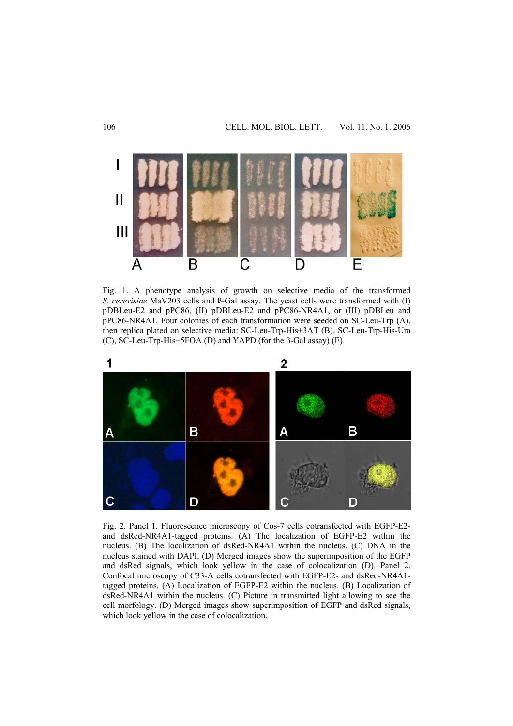

Fig. 1. A phenotype analysis of growth on selective media of the transformed *S. cerevisiae* MaV203 cells and ß-Gal assay. The yeast cells were transformed with (I) pDBLeu-E2 and pPC86, (II) pDBLeu-E2 and pPC86-NR4A1, or (III) pDBLeu and pPC86-NR4A1. Four colonies of each transformation were seeded on SC-Leu-Trp (A), then replica plated on selective media: SC-Leu-Trp-His+3AT (B), SC-Leu-Trp-His-Ura (C), SC-Leu-Trp-His+5FOA (D) and YAPD (for the ß-Gal assay) (E).



Fig. 2. Panel 1. Fluorescence microscopy of Cos-7 cells cotransfected with EGFP-E2 and dsRed-NR4A1-tagged proteins. (A) The localization of EGFP-E2 within the nucleus. (B) The localization of dsRed-NR4A1 within the nucleus. (C) DNA in the nucleus stained with DAPI. (D) Merged images show the superimposition of the EGFP and dsRed signals, which look yellow in the case of colocalization (D). Panel 2. Confocal microscopy of C33-A cells cotransfected with EGFP-E2- and dsRed-NR4A1 tagged proteins. (A) Localization of EGFP-E2 within the nucleus. (B) Localization of dsRed-NR4A1 within the nucleus. (C) Picture in transmitted light allowing to see the cell morfology. (D) Merged images show superimposition of EGFP and dsRed signals, which look yellow in the case of colocalization.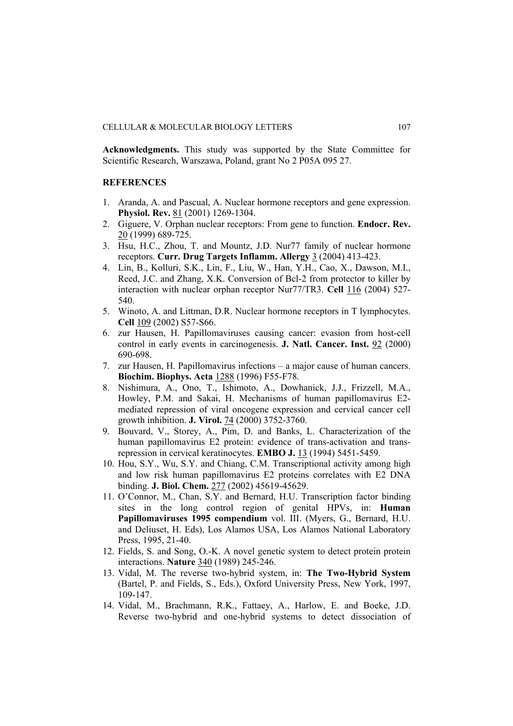**Acknowledgments.** This study was supported by the State Committee for Scientific Research, Warszawa, Poland, grant No 2 P05A 095 27.

#### **REFERENCES**

- 1. Aranda, A. and Pascual, A. Nuclear hormone receptors and gene expression. **Physiol. Rev.** 81 (2001) 1269-1304.
- 2. Giguere, V. Orphan nuclear receptors: From gene to function. **Endocr. Rev.** 20 (1999) 689-725.
- 3. Hsu, H.C., Zhou, T. and Mountz, J.D. Nur77 family of nuclear hormone receptors. **Curr. Drug Targets Inflamm. Allergy** 3 (2004) 413-423.
- 4. Lin, B., Kolluri, S.K., Lin, F., Liu, W., Han, Y.H., Cao, X., Dawson, M.I., Reed, J.C. and Zhang, X.K. Conversion of Bcl-2 from protector to killer by interaction with nuclear orphan receptor Nur77/TR3. **Cell** 116 (2004) 527- 540.
- 5. Winoto, A. and Littman, D.R. Nuclear hormone receptors in T lymphocytes. **Cell** 109 (2002) S57-S66.
- 6. zur Hausen, H. Papillomaviruses causing cancer: evasion from host-cell control in early events in carcinogenesis. **J. Natl. Cancer. Inst.** 92 (2000) 690-698.
- 7. zur Hausen, H. Papillomavirus infections a major cause of human cancers. **Biochim. Biophys. Acta** 1288 (1996) F55-F78.
- 8. Nishimura, A., Ono, T., Ishimoto, A., Dowhanick, J.J., Frizzell, M.A., Howley, P.M. and Sakai, H. Mechanisms of human papillomavirus E2 mediated repression of viral oncogene expression and cervical cancer cell growth inhibition. **J. Virol.** 74 (2000) 3752-3760.
- 9. Bouvard, V., Storey, A., Pim, D. and Banks, L. Characterization of the human papillomavirus E2 protein: evidence of trans-activation and transrepression in cervical keratinocytes. **EMBO J.** 13 (1994) 5451-5459.
- 10. Hou, S.Y., Wu, S.Y. and Chiang, C.M. Transcriptional activity among high and low risk human papillomavirus E2 proteins correlates with E2 DNA binding. **J. Biol. Chem.** 277 (2002) 45619-45629.
- 11. O'Connor, M., Chan, S.Y. and Bernard, H.U. Transcription factor binding sites in the long control region of genital HPVs, in: **Human Papillomaviruses 1995 compendium** vol. III. (Myers, G., Bernard, H.U. and Deliuset, H. Eds), Los Alamos USA, Los Alamos National Laboratory Press, 1995, 21-40.
- 12. Fields, S. and Song, O.-K. A novel genetic system to detect protein protein interactions. **Nature** 340 (1989) 245-246.
- 13. Vidal, M. The reverse two-hybrid system, in: **The Two-Hybrid System** (Bartel, P. and Fields, S., Eds.), Oxford University Press, New York, 1997, 109-147.
- 14. Vidal, M., Brachmann, R.K., Fattaey, A., Harlow, E. and Boeke, J.D. Reverse two-hybrid and one-hybrid systems to detect dissociation of